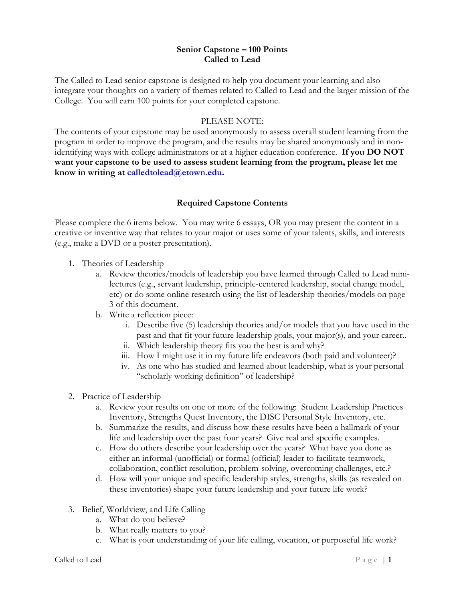#### **Senior Capstone – 100 Points Called to Lead**

The Called to Lead senior capstone is designed to help you document your learning and also integrate your thoughts on a variety of themes related to Called to Lead and the larger mission of the College. You will earn 100 points for your completed capstone.

#### PLEASE NOTE:

The contents of your capstone may be used anonymously to assess overall student learning from the program in order to improve the program, and the results may be shared anonymously and in nonidentifying ways with college administrators or at a higher education conference. **If you DO NOT want your capstone to be used to assess student learning from the program, please let me know in writing at [calledtolead@etown.edu.](mailto:calledtolead@etown.edu)** 

# **Required Capstone Contents**

Please complete the 6 items below. You may write 6 essays, OR you may present the content in a creative or inventive way that relates to your major or uses some of your talents, skills, and interests (e.g., make a DVD or a poster presentation).

- 1. Theories of Leadership
	- a. Review theories/models of leadership you have learned through Called to Lead minilectures (e.g., servant leadership, principle-centered leadership, social change model, etc) or do some online research using the list of leadership theories/models on page 3 of this document.
	- b. Write a reflection piece:
		- i. Describe five (5) leadership theories and/or models that you have used in the past and that fit your future leadership goals, your major(s), and your career..
		- ii. Which leadership theory fits you the best is and why?
		- iii. How I might use it in my future life endeavors (both paid and volunteer)?
		- iv. As one who has studied and learned about leadership, what is your personal "scholarly working definition" of leadership?
- 2. Practice of Leadership
	- a. Review your results on one or more of the following: Student Leadership Practices Inventory, Strengths Quest Inventory, the DISC Personal Style Inventory, etc.
	- b. Summarize the results, and discuss how these results have been a hallmark of your life and leadership over the past four years? Give real and specific examples.
	- c. How do others describe your leadership over the years? What have you done as either an informal (unofficial) or formal (official) leader to facilitate teamwork, collaboration, conflict resolution, problem-solving, overcoming challenges, etc.?
	- d. How will your unique and specific leadership styles, strengths, skills (as revealed on these inventories) shape your future leadership and your future life work?
- 3. Belief, Worldview, and Life Calling
	- a. What do you believe?
	- b. What really matters to you?
	- c. What is your understanding of your life calling, vocation, or purposeful life work?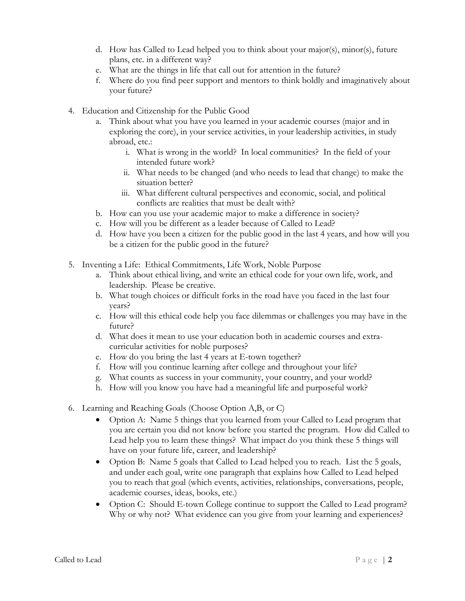- d. How has Called to Lead helped you to think about your major(s), minor(s), future plans, etc. in a different way?
- e. What are the things in life that call out for attention in the future?
- f. Where do you find peer support and mentors to think boldly and imaginatively about your future?
- 4. Education and Citizenship for the Public Good
	- a. Think about what you have you learned in your academic courses (major and in exploring the core), in your service activities, in your leadership activities, in study abroad, etc.:
		- i. What is wrong in the world? In local communities? In the field of your intended future work?
		- ii. What needs to be changed (and who needs to lead that change) to make the situation better?
		- iii. What different cultural perspectives and economic, social, and political conflicts are realities that must be dealt with?
	- b. How can you use your academic major to make a difference in society?
	- c. How will you be different as a leader because of Called to Lead?
	- d. How have you been a citizen for the public good in the last 4 years, and how will you be a citizen for the public good in the future?
- 5. Inventing a Life: Ethical Commitments, Life Work, Noble Purpose
	- a. Think about ethical living, and write an ethical code for your own life, work, and leadership. Please be creative.
	- b. What tough choices or difficult forks in the road have you faced in the last four years?
	- c. How will this ethical code help you face dilemmas or challenges you may have in the future?
	- d. What does it mean to use your education both in academic courses and extracurricular activities for noble purposes?
	- e. How do you bring the last 4 years at E-town together?
	- f. How will you continue learning after college and throughout your life?
	- g. What counts as success in your community, your country, and your world?
	- h. How will you know you have had a meaningful life and purposeful work?
- 6. Learning and Reaching Goals (Choose Option A,B, or C)
	- Option A: Name 5 things that you learned from your Called to Lead program that you are certain you did not know before you started the program. How did Called to Lead help you to learn these things? What impact do you think these 5 things will have on your future life, career, and leadership?
	- Option B: Name 5 goals that Called to Lead helped you to reach. List the 5 goals, and under each goal, write one paragraph that explains how Called to Lead helped you to reach that goal (which events, activities, relationships, conversations, people, academic courses, ideas, books, etc.)
	- Option C: Should E-town College continue to support the Called to Lead program? Why or why not? What evidence can you give from your learning and experiences?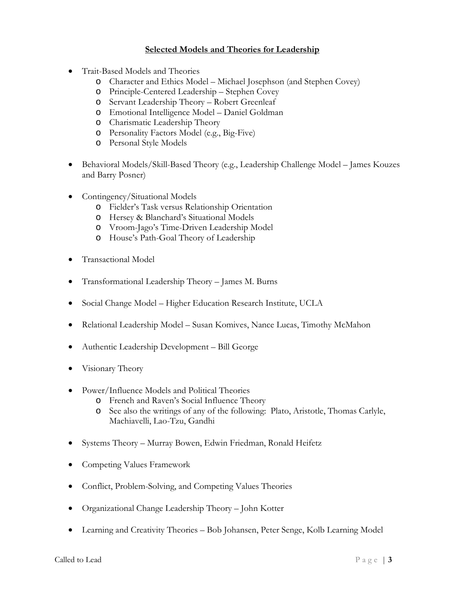# **Selected Models and Theories for Leadership**

- Trait-Based Models and Theories
	- o Character and Ethics Model Michael Josephson (and Stephen Covey)
	- o Principle-Centered Leadership Stephen Covey
	- o Servant Leadership Theory Robert Greenleaf
	- o Emotional Intelligence Model Daniel Goldman
	- o Charismatic Leadership Theory
	- o Personality Factors Model (e.g., Big-Five)
	- o Personal Style Models
- Behavioral Models/Skill-Based Theory (e.g., Leadership Challenge Model James Kouzes and Barry Posner)
- Contingency/Situational Models
	- o Fielder's Task versus Relationship Orientation
	- o Hersey & Blanchard's Situational Models
	- o Vroom-Jago's Time-Driven Leadership Model
	- o House's Path-Goal Theory of Leadership
- Transactional Model
- Transformational Leadership Theory James M. Burns
- Social Change Model Higher Education Research Institute, UCLA
- Relational Leadership Model Susan Komives, Nance Lucas, Timothy McMahon
- Authentic Leadership Development Bill George
- Visionary Theory
- Power/Influence Models and Political Theories
	- o French and Raven's Social Influence Theory
	- o See also the writings of any of the following: Plato, Aristotle, Thomas Carlyle, Machiavelli, Lao-Tzu, Gandhi
- Systems Theory Murray Bowen, Edwin Friedman, Ronald Heifetz
- Competing Values Framework
- Conflict, Problem-Solving, and Competing Values Theories
- Organizational Change Leadership Theory John Kotter
- Learning and Creativity Theories Bob Johansen, Peter Senge, Kolb Learning Model